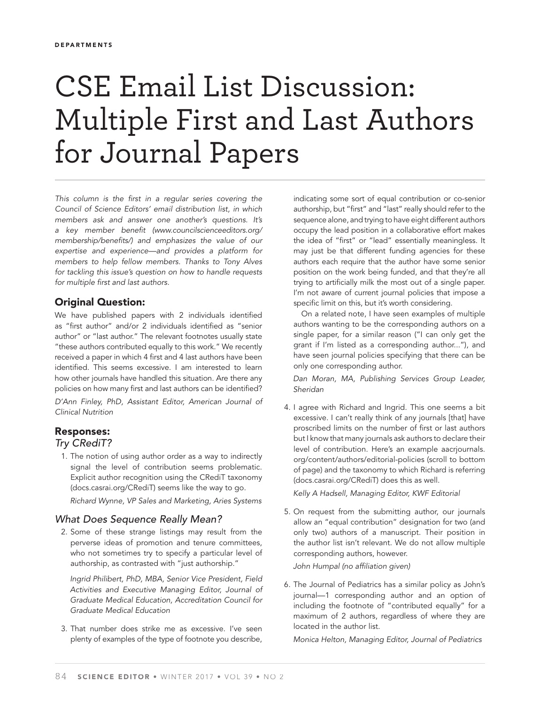# CSE Email List Discussion: Multiple First and Last Authors for Journal Papers

This column is the first in a regular series covering the Council of Science Editors' email distribution list, in which members ask and answer one another's questions. It's a key member benefit (www.councilscienceeditors.org/ membership/benefits/) and emphasizes the value of our expertise and experience—and provides a platform for members to help fellow members. Thanks to Tony Alves for tackling this issue's question on how to handle requests for multiple first and last authors.

# **Original Question:**

We have published papers with 2 individuals identified as "first author" and/or 2 individuals identified as "senior author" or "last author." The relevant footnotes usually state "these authors contributed equally to this work." We recently received a paper in which 4 first and 4 last authors have been identified. This seems excessive. I am interested to learn how other journals have handled this situation. Are there any policies on how many first and last authors can be identified?

D'Ann Finley, PhD, Assistant Editor, American Journal of Clinical Nutrition

# **Responses:**

# Try CRediT?

1. The notion of using author order as a way to indirectly signal the level of contribution seems problematic. Explicit author recognition using the CRediT taxonomy (docs.casrai.org/CRediT) seems like the way to go.

Richard Wynne, VP Sales and Marketing, Aries Systems

# What Does Sequence Really Mean?

2. Some of these strange listings may result from the perverse ideas of promotion and tenure committees, who not sometimes try to specify a particular level of authorship, as contrasted with "just authorship."

Ingrid Philibert, PhD, MBA, Senior Vice President, Field Activities and Executive Managing Editor, Journal of Graduate Medical Education, Accreditation Council for Graduate Medical Education

3. That number does strike me as excessive. I've seen plenty of examples of the type of footnote you describe,

indicating some sort of equal contribution or co-senior authorship, but "first" and "last" really should refer to the sequence alone, and trying to have eight different authors occupy the lead position in a collaborative effort makes the idea of "first" or "lead" essentially meaningless. It may just be that different funding agencies for these authors each require that the author have some senior position on the work being funded, and that they're all trying to artificially milk the most out of a single paper. I'm not aware of current journal policies that impose a specific limit on this, but it's worth considering.

 On a related note, I have seen examples of multiple authors wanting to be the corresponding authors on a single paper, for a similar reason ("I can only get the grant if I'm listed as a corresponding author..."), and have seen journal policies specifying that there can be only one corresponding author.

Dan Moran, MA, Publishing Services Group Leader, Sheridan

4. I agree with Richard and Ingrid. This one seems a bit excessive. I can't really think of any journals [that] have proscribed limits on the number of first or last authors but I know that many journals ask authors to declare their level of contribution. Here's an example aacrjournals. org/content/authors/editorial-policies (scroll to bottom of page) and the taxonomy to which Richard is referring (docs.casrai.org/CRediT) does this as well.

Kelly A Hadsell, Managing Editor, KWF Editorial

5. On request from the submitting author, our journals allow an "equal contribution" designation for two (and only two) authors of a manuscript. Their position in the author list isn't relevant. We do not allow multiple corresponding authors, however.

John Humpal (no affiliation given)

6. The Journal of Pediatrics has a similar policy as John's journal—1 corresponding author and an option of including the footnote of "contributed equally" for a maximum of 2 authors, regardless of where they are located in the author list.

Monica Helton, Managing Editor, Journal of Pediatrics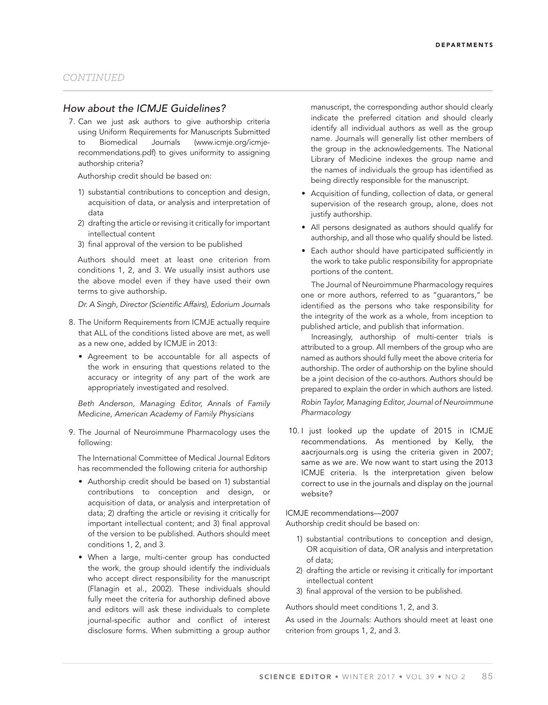## How about the ICMJE Guidelines?

7. Can we just ask authors to give authorship criteria using Uniform Requirements for Manuscripts Submitted to Biomedical Journals (www.icmje.org/icmjerecommendations.pdf) to gives uniformity to assigning authorship criteria?

Authorship credit should be based on:

- 1) substantial contributions to conception and design, acquisition of data, or analysis and interpretation of data
- 2) drafting the article or revising it critically for important intellectual content
- 3) final approval of the version to be published

Authors should meet at least one criterion from conditions 1, 2, and 3. We usually insist authors use the above model even if they have used their own terms to give authorship.

Dr. A Singh, Director (Scientific Affairs), Edorium Journals

- 8. The Uniform Requirements from ICMJE actually require that ALL of the conditions listed above are met, as well as a new one, added by ICMJE in 2013:
	- Agreement to be accountable for all aspects of the work in ensuring that questions related to the accuracy or integrity of any part of the work are appropriately investigated and resolved.

Beth Anderson, Managing Editor, Annals of Family Medicine, American Academy of Family Physicians

9. The Journal of Neuroimmune Pharmacology uses the following:

The International Committee of Medical Journal Editors has recommended the following criteria for authorship

- Authorship credit should be based on 1) substantial contributions to conception and design, or acquisition of data, or analysis and interpretation of data; 2) drafting the article or revising it critically for important intellectual content; and 3) final approval of the version to be published. Authors should meet conditions 1, 2, and 3.
- When a large, multi-center group has conducted the work, the group should identify the individuals who accept direct responsibility for the manuscript (Flanagin et al., 2002). These individuals should fully meet the criteria for authorship defined above and editors will ask these individuals to complete journal-specific author and conflict of interest disclosure forms. When submitting a group author

manuscript, the corresponding author should clearly indicate the preferred citation and should clearly identify all individual authors as well as the group name. Journals will generally list other members of the group in the acknowledgements. The National Library of Medicine indexes the group name and the names of individuals the group has identified as being directly responsible for the manuscript.

- Acquisition of funding, collection of data, or general supervision of the research group, alone, does not justify authorship.
- All persons designated as authors should qualify for authorship, and all those who qualify should be listed.
- Each author should have participated sufficiently in the work to take public responsibility for appropriate portions of the content.

The Journal of Neuroimmune Pharmacology requires one or more authors, referred to as "guarantors," be identified as the persons who take responsibility for the integrity of the work as a whole, from inception to published article, and publish that information.

Increasingly, authorship of multi-center trials is attributed to a group. All members of the group who are named as authors should fully meet the above criteria for authorship. The order of authorship on the byline should be a joint decision of the co-authors. Authors should be prepared to explain the order in which authors are listed.

Robin Taylor, Managing Editor, Journal of Neuroimmune Pharmacology

10. I just looked up the update of 2015 in ICMJE recommendations. As mentioned by Kelly, the aacrjournals.org is using the criteria given in 2007; same as we are. We now want to start using the 2013 ICMJE criteria. Is the interpretation given below correct to use in the journals and display on the journal website?

### ICMJE recommendations—2007

Authorship credit should be based on:

- 1) substantial contributions to conception and design, OR acquisition of data, OR analysis and interpretation of data;
- 2) drafting the article or revising it critically for important intellectual content
- 3) final approval of the version to be published.

Authors should meet conditions 1, 2, and 3.

As used in the Journals: Authors should meet at least one criterion from groups 1, 2, and 3.